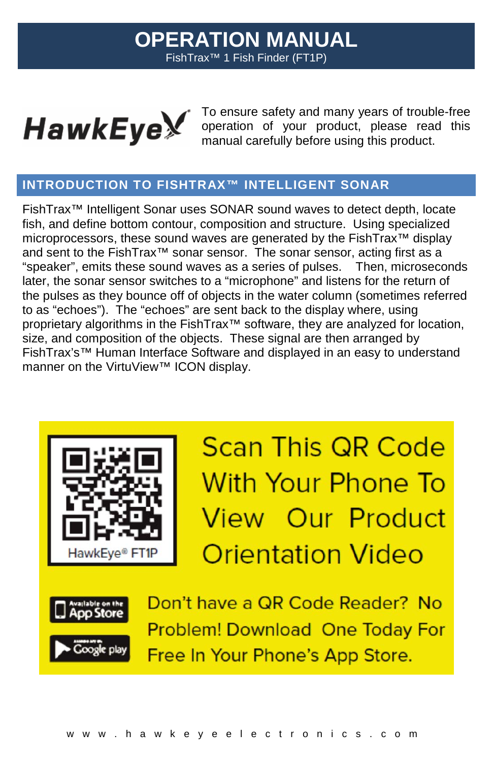# **OPERATION MANUAL** FishTrax™ 1 Fish Finder (FT1P)



Model No. **D10D**

To ensure safety and many years of trouble-free operation of your product, please read this manual carefully before using this product.

## **INTRODUCTION TO FISHTRAX™ INTELLIGENT SONAR**

FishTrax™ Intelligent Sonar uses SONAR sound waves to detect depth, locate fish, and define bottom contour, composition and structure. Using specialized microprocessors, these sound waves are generated by the FishTrax™ display and sent to the FishTrax™ sonar sensor. The sonar sensor, acting first as a "speaker", emits these sound waves as a series of pulses. Then, microseconds later, the sonar sensor switches to a "microphone" and listens for the return of the pulses as they bounce off of objects in the water column (sometimes referred to as "echoes"). The "echoes" are sent back to the display where, using proprietary algorithms in the FishTrax<sup>™</sup> software, they are analyzed for location, size, and composition of the objects. These signal are then arranged by FishTrax's™ Human Interface Software and displayed in an easy to understand manner on the VirtuView™ ICON display.



**Scan This QR Code** With Your Phone To View Our Product **Orientation Video** 



Don't have a QR Code Reader? No **Problem! Download One Today For** Free In Your Phone's App Store.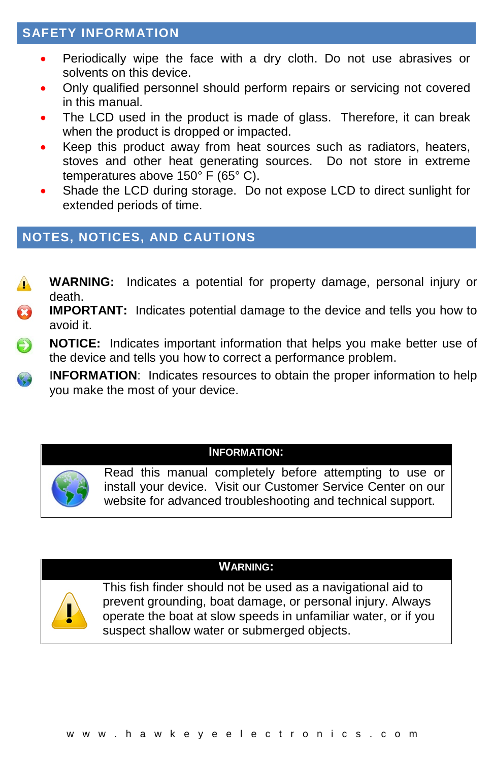## **SAFETY INFORMATION**

- Periodically wipe the face with a dry cloth. Do not use abrasives or solvents on this device.
- Only qualified personnel should perform repairs or servicing not covered in this manual.
- The LCD used in the product is made of glass. Therefore, it can break when the product is dropped or impacted.
- Keep this product away from heat sources such as radiators, heaters, stoves and other heat generating sources. Do not store in extreme temperatures above 150° F (65° C).
- Shade the LCD during storage. Do not expose LCD to direct sunlight for extended periods of time.

## **NOTES, NOTICES, AND CAUTIONS**

- **WARNING:** Indicates a potential for property damage, personal injury or  $\mathbf{A}$ death.
- Ø **IMPORTANT:** Indicates potential damage to the device and tells you how to avoid it.
- $\bigoplus$ **NOTICE:** Indicates important information that helps you make better use of the device and tells you how to correct a performance problem.
- I**NFORMATION**: Indicates resources to obtain the proper information to help C, you make the most of your device.

#### **INFORMATION:**



Read this manual completely before attempting to use or install your device. Visit our Customer Service Center on our website for advanced troubleshooting and technical support.

### **WARNING:**



This fish finder should not be used as a navigational aid to prevent grounding, boat damage, or personal injury. Always operate the boat at slow speeds in unfamiliar water, or if you suspect shallow water or submerged objects.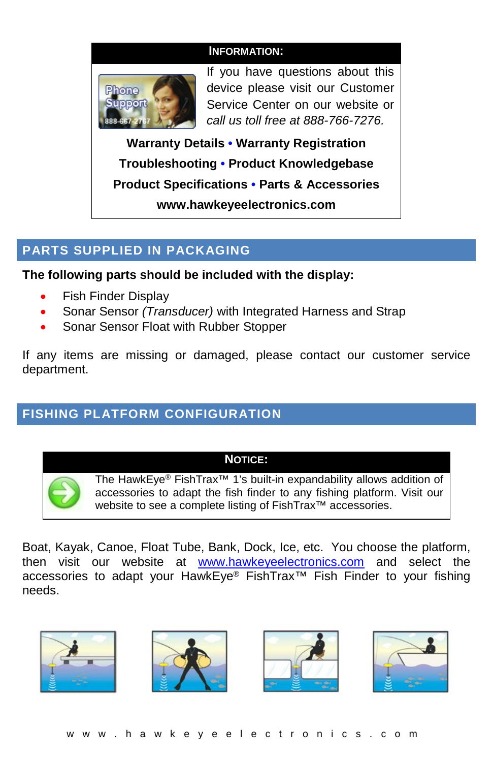

If you have questions about this device please visit our Customer Service Center on our website or *call us toll free at 888-766-7276.*

**Warranty Details • Warranty Registration Troubleshooting • Product Knowledgebase Product Specifications • Parts & Accessories www.hawkeyeelectronics.com**

## **PARTS SUPPLIED IN PACKAGING**

**The following parts should be included with the display:**

- Fish Finder Display
- Sonar Sensor *(Transducer)* with Integrated Harness and Strap
- Sonar Sensor Float with Rubber Stopper

If any items are missing or damaged, please contact our customer service department.

## **FISHING PLATFORM CONFIGURATION**

### **NOTICE:**

The HawkEye® FishTrax™ 1's built-in expandability allows addition of accessories to adapt the fish finder to any fishing platform. Visit our website to see a complete listing of FishTrax<sup>™</sup> accessories.

Boat, Kayak, Canoe, Float Tube, Bank, Dock, Ice, etc. You choose the platform, then visit our website at [www.hawkeyeelectronics.com](http://www.hawkeyeelectronics.com/) and select the accessories to adapt your HawkEye® FishTrax™ Fish Finder to your fishing needs.

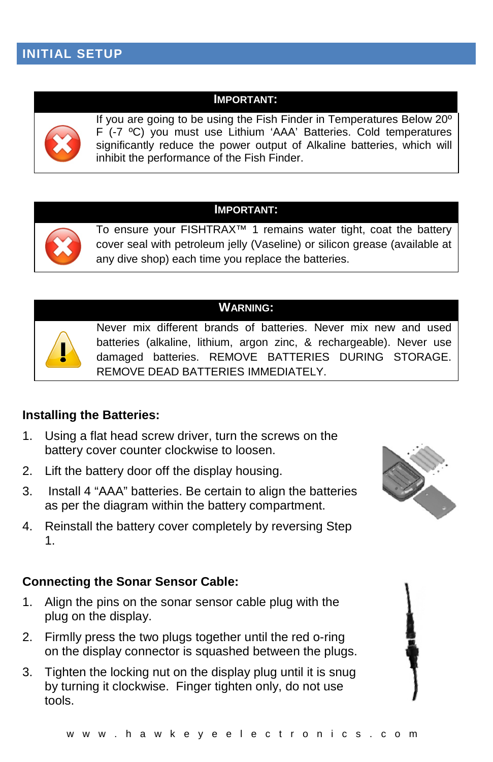#### **IMPORTANT:**



If you are going to be using the Fish Finder in Temperatures Below 20º F (-7 ºC) you must use Lithium 'AAA' Batteries. Cold temperatures significantly reduce the power output of Alkaline batteries, which will inhibit the performance of the Fish Finder.

## **IMPORTANT:**



To ensure your FISHTRAX™ 1 remains water tight, coat the battery cover seal with petroleum jelly (Vaseline) or silicon grease (available at any dive shop) each time you replace the batteries.

### **WARNING:**



Never mix different brands of batteries. Never mix new and used batteries (alkaline, lithium, argon zinc, & rechargeable). Never use damaged batteries. REMOVE BATTERIES DURING STORAGE. REMOVE DEAD BATTERIES IMMEDIATELY.

### **Installing the Batteries:**

- 1. Using a flat head screw driver, turn the screws on the battery cover counter clockwise to loosen.
- 2. Lift the battery door off the display housing.
- 3. Install 4 "AAA" batteries. Be certain to align the batteries as per the diagram within the battery compartment.
- 4. Reinstall the battery cover completely by reversing Step 1.

### **Connecting the Sonar Sensor Cable:**

- 1. Align the pins on the sonar sensor cable plug with the plug on the display.
- 2. Firmlly press the two plugs together until the red o-ring on the display connector is squashed between the plugs.
- 3. Tighten the locking nut on the display plug until it is snug by turning it clockwise. Finger tighten only, do not use tools.



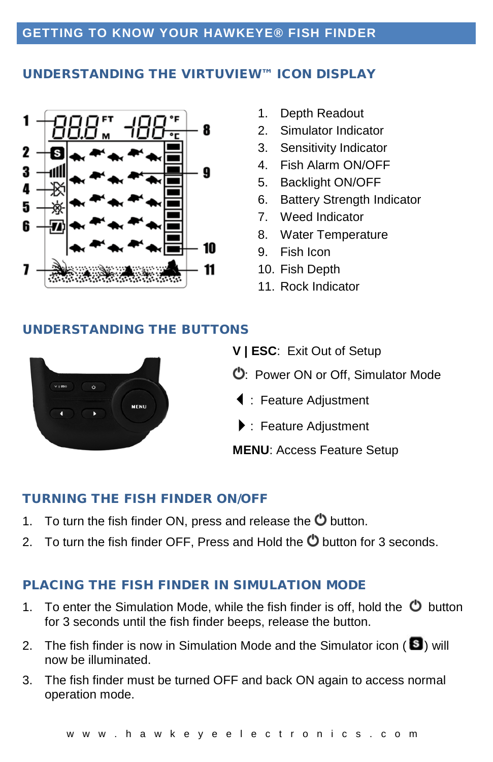## **GETTING TO KNOW YOUR HAWKEYE® FISH FINDER**

#### UNDERSTANDING THE VIRTUVIEW™ ICON DISPLAY



- 1. Depth Readout
- 2. Simulator Indicator
- 3. Sensitivity Indicator
- 4. Fish Alarm ON/OFF
- 5. Backlight ON/OFF
- 6. Battery Strength Indicator
- 7. Weed Indicator
- 8. Water Temperature
- 9. Fish Icon
- 10. Fish Depth
- 11. Rock Indicator

#### UNDERSTANDING THE BUTTONS



- **V | ESC**: Exit Out of Setup
- : Power ON or Off, Simulator Mode
- : Feature Adjustment
- : Feature Adjustment
- **MENU**: Access Feature Setup

#### TURNING THE FISH FINDER ON/OFF

- 1. To turn the fish finder ON, press and release the  $\bullet$  button.
- 2. To turn the fish finder OFF, Press and Hold the  $\bullet$  button for 3 seconds.

#### PLACING THE FISH FINDER IN SIMULATION MODE

- 1. To enter the Simulation Mode, while the fish finder is off, hold the  $\bullet$  button for 3 seconds until the fish finder beeps, release the button.
- 2. The fish finder is now in Simulation Mode and the Simulator icon ( $\blacksquare$ ) will now be illuminated.
- 3. The fish finder must be turned OFF and back ON again to access normal operation mode.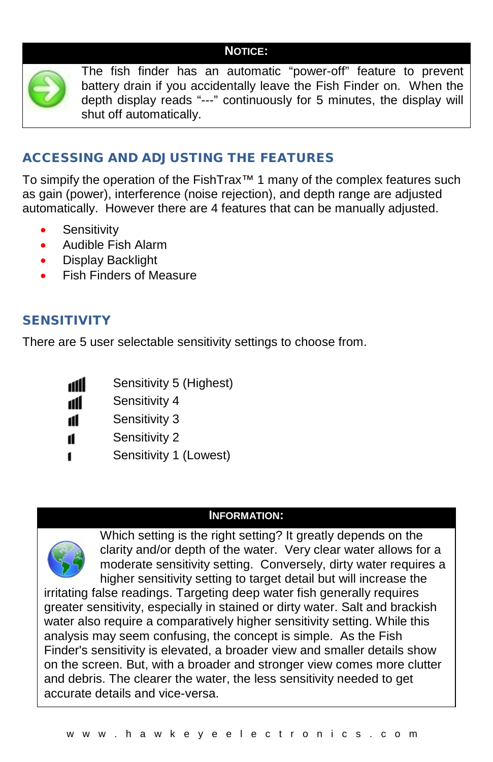### **NOTICE:**



The fish finder has an automatic "power-off" feature to prevent battery drain if you accidentally leave the Fish Finder on. When the depth display reads "---" continuously for 5 minutes, the display will shut off automatically.

## ACCESSING AND ADJUSTING THE FEATURES

To simpify the operation of the FishTrax™ 1 many of the complex features such as gain (power), interference (noise rejection), and depth range are adjusted automatically. However there are 4 features that can be manually adjusted.

- Sensitivity
- Audible Fish Alarm
- Display Backlight
- Fish Finders of Measure

## SENSITIVITY

There are 5 user selectable sensitivity settings to choose from.

- Sensitivity 5 (Highest) dll
- ııl Sensitivity 4
- Sensitivity 3 11
- Sensitivity 2 11
- 1 Sensitivity 1 (Lowest)

### **INFORMATION:**



Which setting is the right setting? It greatly depends on the clarity and/or depth of the water. Very clear water allows for a moderate sensitivity setting. Conversely, dirty water requires a higher sensitivity setting to target detail but will increase the

irritating false readings. Targeting deep water fish generally requires greater sensitivity, especially in stained or dirty water. Salt and brackish water also require a comparatively higher sensitivity setting. While this analysis may seem confusing, the concept is simple. As the Fish Finder's sensitivity is elevated, a broader view and smaller details show on the screen. But, with a broader and stronger view comes more clutter and debris. The clearer the water, the less sensitivity needed to get accurate details and vice-versa.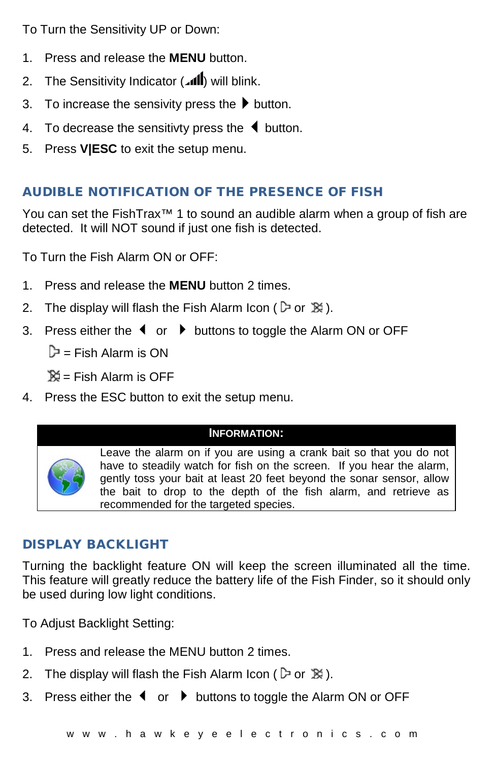To Turn the Sensitivity UP or Down:

- 1. Press and release the **MENU** button.
- 2. The Sensitivity Indicator (all) will blink.
- 3. To increase the sensivity press the  $\blacktriangleright$  button.
- 4. To decrease the sensitivty press the  $\blacklozenge$  button.
- 5. Press **V|ESC** to exit the setup menu.

## AUDIBLE NOTIFICATION OF THE PRESENCE OF FISH

You can set the FishTrax™ 1 to sound an audible alarm when a group of fish are detected. It will NOT sound if just one fish is detected.

To Turn the Fish Alarm ON or OFF:

- 1. Press and release the **MENU** button 2 times.
- 2. The display will flash the Fish Alarm Icon ( $\triangleright$  or  $\mathbb{X}$ ).
- 3. Press either the  $\blacklozenge$  or  $\blacktriangleright$  buttons to toggle the Alarm ON or OFF

 $\mathbb{P}$  = Fish Alarm is ON

 $\aleph =$  Fish Alarm is OFF

4. Press the ESC button to exit the setup menu.

### **INFORMATION:**

Leave the alarm on if you are using a crank bait so that you do not have to steadily watch for fish on the screen. If you hear the alarm, gently toss your bait at least 20 feet beyond the sonar sensor, allow the bait to drop to the depth of the fish alarm, and retrieve as recommended for the targeted species.

## DISPLAY BACKLIGHT

Turning the backlight feature ON will keep the screen illuminated all the time. This feature will greatly reduce the battery life of the Fish Finder, so it should only be used during low light conditions.

To Adjust Backlight Setting:

- 1. Press and release the MENU button 2 times.
- 2. The display will flash the Fish Alarm Icon ( $\triangleright$  or  $\mathbb{X}$ ).
- 3. Press either the  $\blacklozenge$  or  $\blacktriangleright$  buttons to toggle the Alarm ON or OFF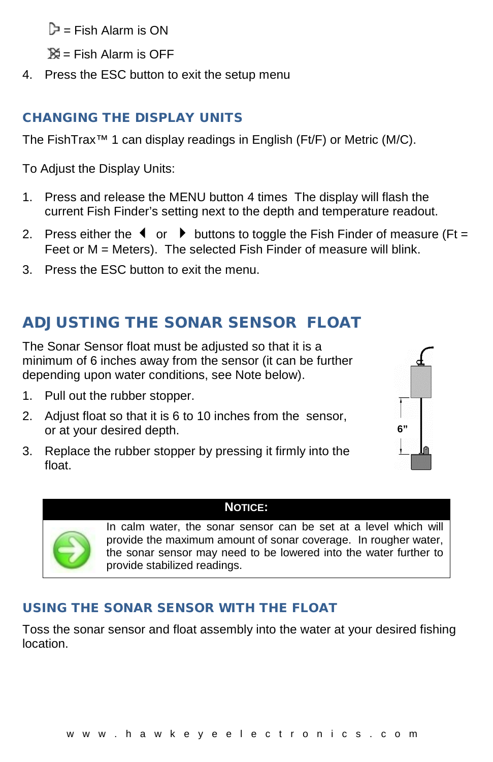$\mathbb{D}$  = Fish Alarm is ON

 $\mathbb{X}$  = Fish Alarm is OFF

4. Press the ESC button to exit the setup menu

## CHANGING THE DISPLAY UNITS

The FishTrax™ 1 can display readings in English (Ft/F) or Metric (M/C).

To Adjust the Display Units:

- 1. Press and release the MENU button 4 times The display will flash the current Fish Finder's setting next to the depth and temperature readout.
- 2. Press either the  $\triangleleft$  or  $\triangleright$  buttons to toggle the Fish Finder of measure (Ft = Feet or M = Meters). The selected Fish Finder of measure will blink.
- 3. Press the ESC button to exit the menu.

# ADJUSTING THE SONAR SENSOR FLOAT

The Sonar Sensor float must be adjusted so that it is a minimum of 6 inches away from the sensor (it can be further depending upon water conditions, see Note below).

- 1. Pull out the rubber stopper.
- 2. Adjust float so that it is 6 to 10 inches from the sensor, or at your desired depth.
- 3. Replace the rubber stopper by pressing it firmly into the float.





In calm water, the sonar sensor can be set at a level which will provide the maximum amount of sonar coverage. In rougher water, the sonar sensor may need to be lowered into the water further to provide stabilized readings.

**6"** 

## USING THE SONAR SENSOR WITH THE FLOAT

Toss the sonar sensor and float assembly into the water at your desired fishing location.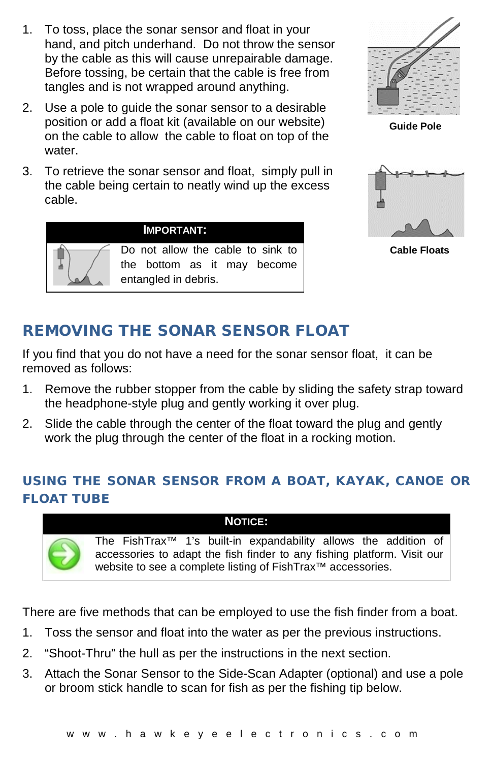- 1. To toss, place the sonar sensor and float in your hand, and pitch underhand. Do not throw the sensor by the cable as this will cause unrepairable damage. Before tossing, be certain that the cable is free from tangles and is not wrapped around anything.
- 2. Use a pole to guide the sonar sensor to a desirable position or add a float kit (available on our website) on the cable to allow the cable to float on top of the water.
- 3. To retrieve the sonar sensor and float, simply pull in the cable being certain to neatly wind up the excess cable.

**IMPORTANT:**

entangled in debris.



**Guide Pole**



**Cable Floats**

# REMOVING THE SONAR SENSOR FLOAT

Do not allow the cable to sink to the bottom as it may become

If you find that you do not have a need for the sonar sensor float, it can be removed as follows:

- 1. Remove the rubber stopper from the cable by sliding the safety strap toward the headphone-style plug and gently working it over plug.
- 2. Slide the cable through the center of the float toward the plug and gently work the plug through the center of the float in a rocking motion.

## USING THE SONAR SENSOR FROM A BOAT, KAYAK, CANOE OR FLOAT TUBE

## **NOTICE:**

The FishTrax™ 1's built-in expandability allows the addition of accessories to adapt the fish finder to any fishing platform. Visit our website to see a complete listing of FishTrax<sup>™</sup> accessories.

There are five methods that can be employed to use the fish finder from a boat.

- 1. Toss the sensor and float into the water as per the previous instructions.
- 2. "Shoot-Thru" the hull as per the instructions in the next section.
- 3. Attach the Sonar Sensor to the Side-Scan Adapter (optional) and use a pole or broom stick handle to scan for fish as per the fishing tip below.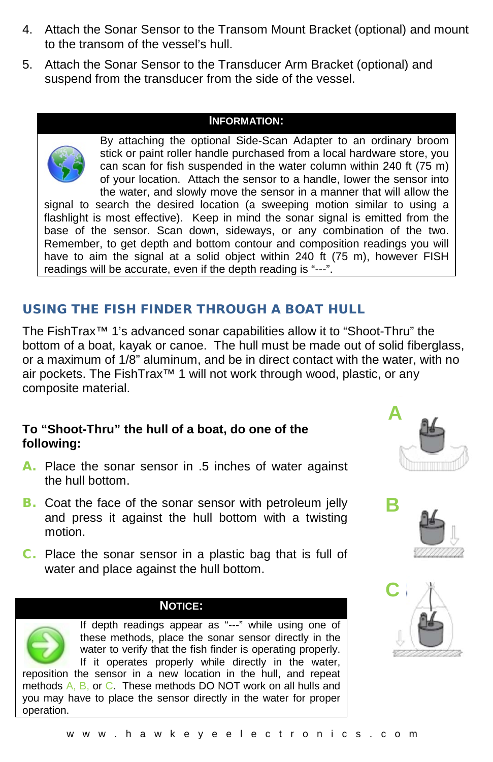- 4. Attach the Sonar Sensor to the Transom Mount Bracket (optional) and mount to the transom of the vessel's hull.
- 5. Attach the Sonar Sensor to the Transducer Arm Bracket (optional) and suspend from the transducer from the side of the vessel.

By attaching the optional Side-Scan Adapter to an ordinary broom stick or paint roller handle purchased from a local hardware store, you can scan for fish suspended in the water column within 240 ft (75 m) of your location. Attach the sensor to a handle, lower the sensor into the water, and slowly move the sensor in a manner that will allow the signal to search the desired location (a sweeping motion similar to using a flashlight is most effective). Keep in mind the sonar signal is emitted from the base of the sensor. Scan down, sideways, or any combination of the two. Remember, to get depth and bottom contour and composition readings you will have to aim the signal at a solid object within 240 ft (75 m), however FISH readings will be accurate, even if the depth reading is "---".

## USING THE FISH FINDER THROUGH A BOAT HULL

The FishTrax™ 1's advanced sonar capabilities allow it to "Shoot-Thru" the bottom of a boat, kayak or canoe. The hull must be made out of solid fiberglass, or a maximum of 1/8" aluminum, and be in direct contact with the water, with no air pockets. The FishTrax™ 1 will not work through wood, plastic, or any composite material.

## **To "Shoot-Thru" the hull of a boat, do one of the following:**

- A. Place the sonar sensor in .5 inches of water against the hull bottom.
- **B.** Coat the face of the sonar sensor with petroleum jelly and press it against the hull bottom with a twisting motion.
- C. Place the sonar sensor in a plastic bag that is full of water and place against the hull bottom.

#### **NOTICE:**

If depth readings appear as "---" while using one of these methods, place the sonar sensor directly in the water to verify that the fish finder is operating properly. If it operates properly while directly in the water, reposition the sensor in a new location in the hull, and repeat

methods A, B, or C. These methods DO NOT work on all hulls and you may have to place the sensor directly in the water for proper operation.





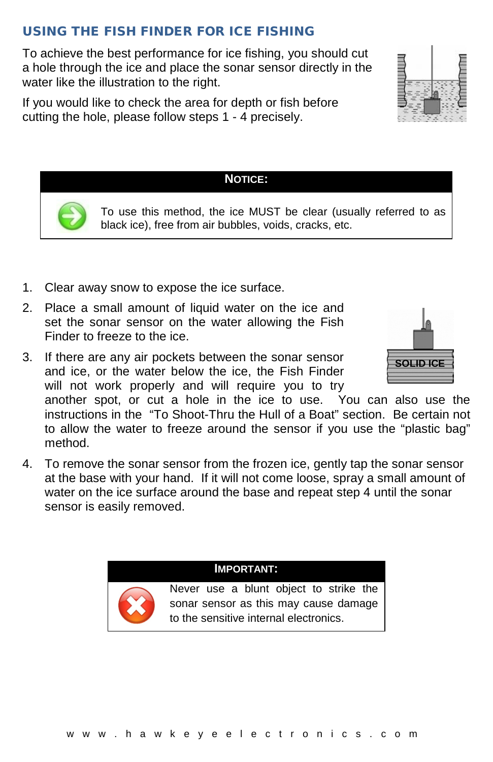## USING THE FISH FINDER FOR ICE FISHING

To achieve the best performance for ice fishing, you should cut a hole through the ice and place the sonar sensor directly in the water like the illustration to the right.

If you would like to check the area for depth or fish before cutting the hole, please follow steps 1 - 4 precisely.

## 1. Clear away snow to expose the ice surface.

- 2. Place a small amount of liquid water on the ice and set the sonar sensor on the water allowing the Fish Finder to freeze to the ice.
- 3. If there are any air pockets between the sonar sensor and ice, or the water below the ice, the Fish Finder will not work properly and will require you to try

another spot, or cut a hole in the ice to use. You can also use the instructions in the "To Shoot-Thru the Hull of a Boat" section. Be certain not to allow the water to freeze around the sensor if you use the "plastic bag" method.

4. To remove the sonar sensor from the frozen ice, gently tap the sonar sensor at the base with your hand. If it will not come loose, spray a small amount of water on the ice surface around the base and repeat step 4 until the sonar sensor is easily removed.

## **IMPORTANT:**

Never use a blunt object to strike the sonar sensor as this may cause damage to the sensitive internal electronics.





# To use this method, the ice MUST be clear (usually referred to as

black ice), free from air bubbles, voids, cracks, etc.

**NOTICE:**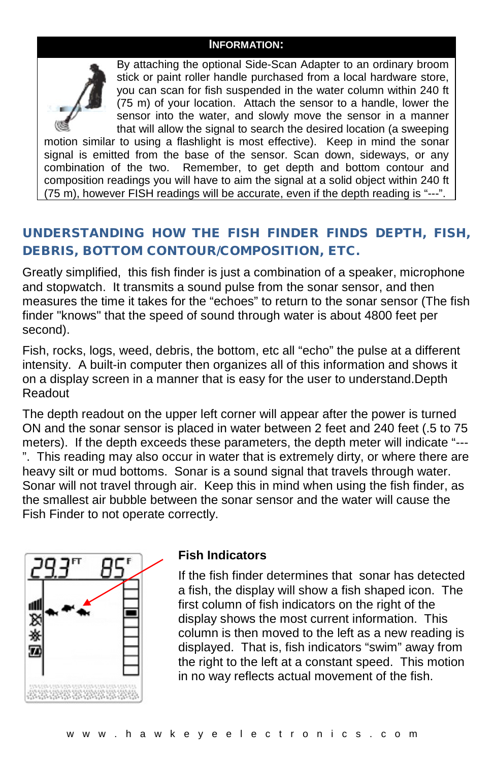

By attaching the optional Side-Scan Adapter to an ordinary broom stick or paint roller handle purchased from a local hardware store, you can scan for fish suspended in the water column within 240 ft (75 m) of your location. Attach the sensor to a handle, lower the sensor into the water, and slowly move the sensor in a manner that will allow the signal to search the desired location (a sweeping

motion similar to using a flashlight is most effective). Keep in mind the sonar signal is emitted from the base of the sensor. Scan down, sideways, or any combination of the two. Remember, to get depth and bottom contour and composition readings you will have to aim the signal at a solid object within 240 ft (75 m), however FISH readings will be accurate, even if the depth reading is "---".

## UNDERSTANDING HOW THE FISH FINDER FINDS DEPTH, FISH, DEBRIS, BOTTOM CONTOUR/COMPOSITION, ETC.

Greatly simplified, this fish finder is just a combination of a speaker, microphone and stopwatch. It transmits a sound pulse from the sonar sensor, and then measures the time it takes for the "echoes" to return to the sonar sensor (The fish finder "knows" that the speed of sound through water is about 4800 feet per second).

Fish, rocks, logs, weed, debris, the bottom, etc all "echo" the pulse at a different intensity. A built-in computer then organizes all of this information and shows it on a display screen in a manner that is easy for the user to understand.Depth Readout

The depth readout on the upper left corner will appear after the power is turned ON and the sonar sensor is placed in water between 2 feet and 240 feet (.5 to 75 meters). If the depth exceeds these parameters, the depth meter will indicate "--- ". This reading may also occur in water that is extremely dirty, or where there are heavy silt or mud bottoms. Sonar is a sound signal that travels through water. Sonar will not travel through air. Keep this in mind when using the fish finder, as the smallest air bubble between the sonar sensor and the water will cause the Fish Finder to not operate correctly.



### **Fish Indicators**

If the fish finder determines that sonar has detected a fish, the display will show a fish shaped icon. The first column of fish indicators on the right of the display shows the most current information. This column is then moved to the left as a new reading is displayed. That is, fish indicators "swim" away from the right to the left at a constant speed. This motion in no way reflects actual movement of the fish.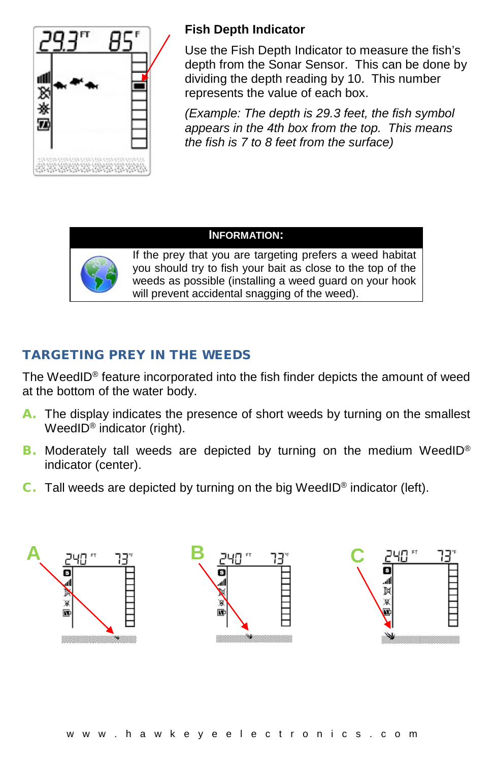

## **Fish Depth Indicator**

Use the Fish Depth Indicator to measure the fish's depth from the Sonar Sensor. This can be done by dividing the depth reading by 10. This number represents the value of each box.

*(Example: The depth is 29.3 feet, the fish symbol appears in the 4th box from the top. This means the fish is 7 to 8 feet from the surface)*

#### **INFORMATION:**



If the prey that you are targeting prefers a weed habitat you should try to fish your bait as close to the top of the weeds as possible (installing a weed guard on your hook will prevent accidental snagging of the weed).

# TARGETING PREY IN THE WEEDS

The WeedID® feature incorporated into the fish finder depicts the amount of weed at the bottom of the water body.

- A. The display indicates the presence of short weeds by turning on the smallest WeedID<sup>®</sup> indicator (right).
- B. Moderately tall weeds are depicted by turning on the medium WeedID® indicator (center).
- C. Tall weeds are depicted by turning on the big WeedID® indicator (left).

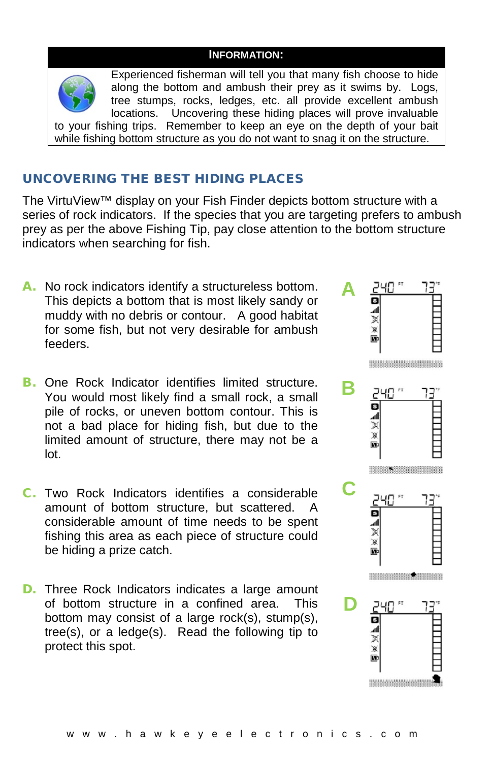

Experienced fisherman will tell you that many fish choose to hide along the bottom and ambush their prey as it swims by. Logs, tree stumps, rocks, ledges, etc. all provide excellent ambush locations. Uncovering these hiding places will prove invaluable Uncovering these hiding places will prove invaluable to your fishing trips. Remember to keep an eye on the depth of your bait while fishing bottom structure as you do not want to snag it on the structure.

## UNCOVERING THE BEST HIDING PLACES

The VirtuView™ display on your Fish Finder depicts bottom structure with a series of rock indicators. If the species that you are targeting prefers to ambush prey as per the above Fishing Tip, pay close attention to the bottom structure indicators when searching for fish.

- A. No rock indicators identify a structureless bottom. This depicts a bottom that is most likely sandy or muddy with no debris or contour. A good habitat for some fish, but not very desirable for ambush feeders.
- **B.** One Rock Indicator identifies limited structure. You would most likely find a small rock, a small pile of rocks, or uneven bottom contour. This is not a bad place for hiding fish, but due to the limited amount of structure, there may not be a lot.
- C. Two Rock Indicators identifies a considerable amount of bottom structure, but scattered. A considerable amount of time needs to be spent fishing this area as each piece of structure could be hiding a prize catch.
- D. Three Rock Indicators indicates a large amount of bottom structure in a confined area. This bottom may consist of a large rock(s), stump(s), tree(s), or a ledge(s). Read the following tip to protect this spot.

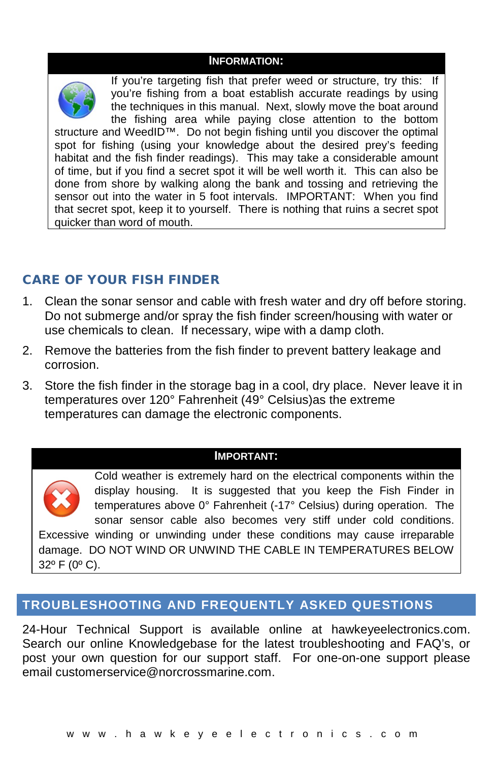

If you're targeting fish that prefer weed or structure, try this: If you're fishing from a boat establish accurate readings by using the techniques in this manual. Next, slowly move the boat around the fishing area while paying close attention to the bottom structure and WeedID™. Do not begin fishing until you discover the optimal spot for fishing (using your knowledge about the desired prey's feeding habitat and the fish finder readings). This may take a considerable amount of time, but if you find a secret spot it will be well worth it. This can also be done from shore by walking along the bank and tossing and retrieving the sensor out into the water in 5 foot intervals. IMPORTANT: When you find that secret spot, keep it to yourself. There is nothing that ruins a secret spot quicker than word of mouth.

## CARE OF YOUR FISH FINDER

- 1. Clean the sonar sensor and cable with fresh water and dry off before storing. Do not submerge and/or spray the fish finder screen/housing with water or use chemicals to clean. If necessary, wipe with a damp cloth.
- 2. Remove the batteries from the fish finder to prevent battery leakage and corrosion.
- 3. Store the fish finder in the storage bag in a cool, dry place. Never leave it in temperatures over 120° Fahrenheit (49° Celsius)as the extreme temperatures can damage the electronic components.

#### **IMPORTANT:**



Cold weather is extremely hard on the electrical components within the display housing. It is suggested that you keep the Fish Finder in temperatures above 0° Fahrenheit (-17° Celsius) during operation. The sonar sensor cable also becomes very stiff under cold conditions. Excessive winding or unwinding under these conditions may cause irreparable

damage. DO NOT WIND OR UNWIND THE CABLE IN TEMPERATURES BELOW 32º F (0º C).

## **TROUBLESHOOTING AND FREQUENTLY ASKED QUESTIONS**

24-Hour Technical Support is available online at hawkeyeelectronics.com. Search our online Knowledgebase for the latest troubleshooting and FAQ's, or post your own question for our support staff. For one-on-one support please email [customerservice@norcrossmarine.com.](mailto:customerservice@norcrossmarine.com)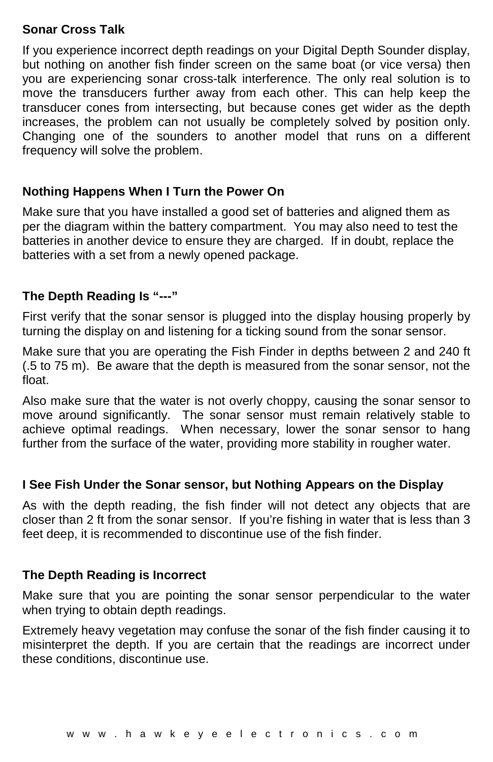## **Sonar Cross Talk**

If you experience incorrect depth readings on your Digital Depth Sounder display, but nothing on another fish finder screen on the same boat (or vice versa) then you are experiencing sonar cross-talk interference. The only real solution is to move the transducers further away from each other. This can help keep the transducer cones from intersecting, but because cones get wider as the depth increases, the problem can not usually be completely solved by position only. Changing one of the sounders to another model that runs on a different frequency will solve the problem.

## **Nothing Happens When I Turn the Power On**

Make sure that you have installed a good set of batteries and aligned them as per the diagram within the battery compartment. You may also need to test the batteries in another device to ensure they are charged. If in doubt, replace the batteries with a set from a newly opened package.

## **The Depth Reading Is "---"**

First verify that the sonar sensor is plugged into the display housing properly by turning the display on and listening for a ticking sound from the sonar sensor.

Make sure that you are operating the Fish Finder in depths between 2 and 240 ft (.5 to 75 m). Be aware that the depth is measured from the sonar sensor, not the float.

Also make sure that the water is not overly choppy, causing the sonar sensor to move around significantly. The sonar sensor must remain relatively stable to achieve optimal readings. When necessary, lower the sonar sensor to hang further from the surface of the water, providing more stability in rougher water.

## **I See Fish Under the Sonar sensor, but Nothing Appears on the Display**

As with the depth reading, the fish finder will not detect any objects that are closer than 2 ft from the sonar sensor. If you're fishing in water that is less than 3 feet deep, it is recommended to discontinue use of the fish finder.

## **The Depth Reading is Incorrect**

Make sure that you are pointing the sonar sensor perpendicular to the water when trying to obtain depth readings.

Extremely heavy vegetation may confuse the sonar of the fish finder causing it to misinterpret the depth. If you are certain that the readings are incorrect under these conditions, discontinue use.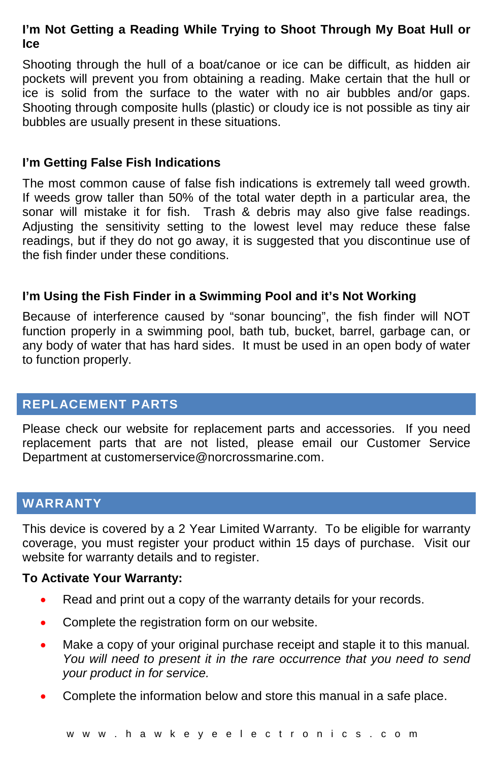## **I'm Not Getting a Reading While Trying to Shoot Through My Boat Hull or Ice**

Shooting through the hull of a boat/canoe or ice can be difficult, as hidden air pockets will prevent you from obtaining a reading. Make certain that the hull or ice is solid from the surface to the water with no air bubbles and/or gaps. Shooting through composite hulls (plastic) or cloudy ice is not possible as tiny air bubbles are usually present in these situations.

### **I'm Getting False Fish Indications**

The most common cause of false fish indications is extremely tall weed growth. If weeds grow taller than 50% of the total water depth in a particular area, the sonar will mistake it for fish. Trash & debris may also give false readings. Adjusting the sensitivity setting to the lowest level may reduce these false readings, but if they do not go away, it is suggested that you discontinue use of the fish finder under these conditions.

## **I'm Using the Fish Finder in a Swimming Pool and it's Not Working**

Because of interference caused by "sonar bouncing", the fish finder will NOT function properly in a swimming pool, bath tub, bucket, barrel, garbage can, or any body of water that has hard sides. It must be used in an open body of water to function properly.

## **REPLACEMENT PARTS**

Please check our website for replacement parts and accessories. If you need replacement parts that are not listed, please email our Customer Service Department at customerservice@norcrossmarine.com.

## **WARRANTY**

This device is covered by a 2 Year Limited Warranty. To be eligible for warranty coverage, you must register your product within 15 days of purchase. Visit our website for warranty details and to register.

### **To Activate Your Warranty:**

- Read and print out a copy of the warranty details for your records.
- Complete the registration form on our website.
- Make a copy of your original purchase receipt and staple it to this manual*. You will need to present it in the rare occurrence that you need to send your product in for service.*
- Complete the information below and store this manual in a safe place.